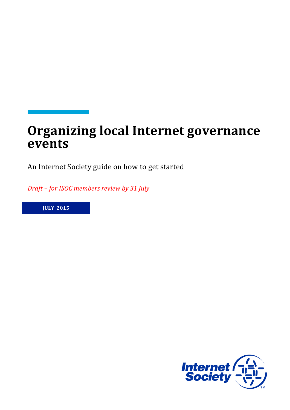# **Organizing local Internet governance events**

An Internet Society guide on how to get started

*Draft* – for ISOC members review by 31 July

**JULY 2015**

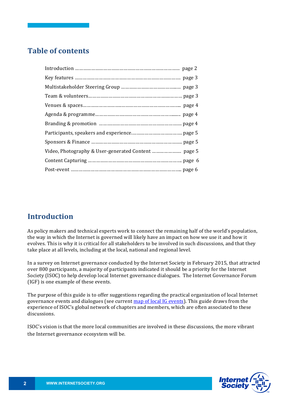# **Table of contents**

### **Introduction**

As policy makers and technical experts work to connect the remaining half of the world's population, the way in which the Internet is governed will likely have an impact on how we use it and how it evolves. This is why it is critical for all stakeholders to be involved in such discussions, and that they take place at all levels, including at the local, national and regional level.

In a survey on Internet governance conducted by the Internet Society in February 2015, that attracted over 800 participants, a majority of participants indicated it should be a priority for the Internet Society (ISOC) to help develop local Internet governance dialogues. The Internet Governance Forum (IGF) is one example of these events.

The purpose of this guide is to offer suggestions regarding the practical organization of local Internet governance events and dialogues (see current map of local IG events). This guide draws from the experience of ISOC's global network of chapters and members, which are often associated to these discussions. 

ISOC's vision is that the more local communities are involved in these discussions, the more vibrant the Internet governance ecosystem will be.

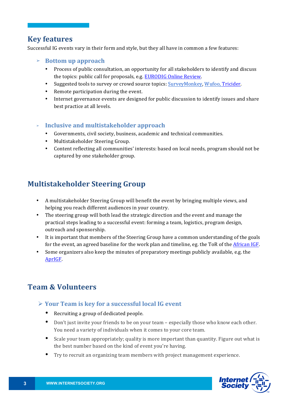#### **Key features**

Successful IG events vary in their form and style, but they all have in common a few features:

- ➢ **Bottom up approach**
	- Process of public consultation, an opportunity for all stakeholders to identify and discuss the topics: public call for proposals, e.g. EURODIG Online Review.
	- Suggested tools to survey or crowd source topics: SurveyMonkey, Wufoo, Tricider.
	- Remote participation during the event.
	- Internet governance events are designed for public discussion to identify issues and share best practice at all levels.

#### **EXECUTE:** Inclusive and multistakeholder approach

- Governments, civil society, business, academic and technical communities.
- Multistakeholder Steering Group.
- Content reflecting all communities' interests: based on local needs, program should not be captured by one stakeholder group.

# **Multistakeholder Steering Group**

- A multistakeholder Steering Group will benefit the event by bringing multiple views, and helping you reach different audiences in your country.
- The steering group will both lead the strategic direction and the event and manage the practical steps leading to a successful event: forming a team, logistics, program design, outreach and sponsorship.
- It is important that members of the Steering Group have a common understanding of the goals for the event, an agreed baseline for the work plan and timeline, eg. the ToR of the African  $IGF$ .
- Some organizers also keep the minutes of preparatory meetings publicly available, e.g. the AprIGF.

### **Team & Volunteers**

#### **≻ Your Team is key for a successful local IG event**

- Recruiting a group of dedicated people.
- Don't just invite your friends to be on your team especially those who know each other. You need a variety of individuals when it comes to your core team.
- Scale your team appropriately; quality is more important than quantity. Figure out what is the best number based on the kind of event you're having.
- Try to recruit an organizing team members with project management experience.

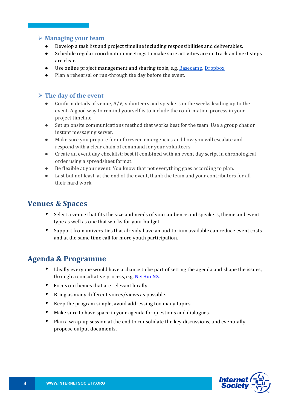#### **Example 2** Managing your team

- Develop a task list and project timeline including responsibilities and deliverables.
- Schedule regular coordination meetings to make sure activities are on track and next steps are clear.
- Use online project management and sharing tools, e.g. Basecamp, Dropbox
- Plan a rehearsal or run-through the day before the event.

#### $\triangleright$  The day of the event

- Confirm details of venue,  $A/V$ , volunteers and speakers in the weeks leading up to the event. A good way to remind yourself is to include the confirmation process in your project timeline.
- Set up onsite communications method that works best for the team. Use a group chat or instant messaging server.
- Make sure you prepare for unforeseen emergencies and how you will escalate and respond with a clear chain of command for your volunteers.
- Create an event day checklist; best if combined with an event day script in chronological order using a spreadsheet format.
- $\bullet$  Be flexible at your event. You know that not everything goes according to plan.
- Last but not least, at the end of the event, thank the team and your contributors for all their hard work.

#### **Venues & Spaces**

- Select a venue that fits the size and needs of your audience and speakers, theme and event type as well as one that works for your budget.
- Support from universities that already have an auditorium available can reduce event costs and at the same time call for more youth participation.

### **Agenda & Programme**

- Ideally everyone would have a chance to be part of setting the agenda and shape the issues, through a consultative process, e.g. NetHui NZ.
- Focus on themes that are relevant locally.
- Bring as many different voices/views as possible.
- Keep the program simple, avoid addressing too many topics.
- Make sure to have space in your agenda for questions and dialogues.
- Plan a wrap-up session at the end to consolidate the key discussions, and eventually propose output documents.

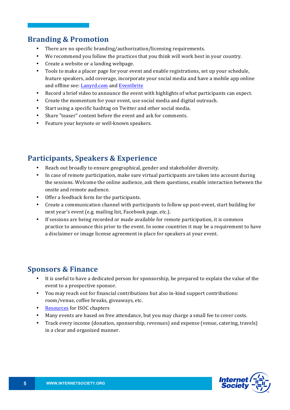### **Branding & Promotion**

- There are no specific branding/authorization/licensing requirements.
- We recommend you follow the practices that you think will work best in your country.
- Create a website or a landing webpage.
- Tools to make a placer page for your event and enable registrations, set up your schedule, feature speakers, add coverage, incorporate your social media and have a mobile app online and offline see: Lanyrd.com and Eventbrite
- Record a brief video to announce the event with highlights of what participants can expect.
- Create the momentum for your event, use social media and digital outreach.
- Start using a specific hashtag on Twitter and other social media.
- Share "teaser" content before the event and ask for comments.
- Feature your keynote or well-known speakers.

# **Participants, Speakers & Experience**

- Reach out broadly to ensure geographical, gender and stakeholder diversity.
- In case of remote participation, make sure virtual participants are taken into account during the sessions. Welcome the online audience, ask them questions, enable interaction between the onsite and remote audience.
- Offer a feedback form for the participants.
- Create a communication channel with participants to follow up post-event, start building for next year's event (e.g. mailing list, Facebook page, etc.).
- If sessions are being recorded or made available for remote participation, it is common practice to announce this prior to the event. In some countries it may be a requirement to have a disclaimer or image license agreement in place for speakers at your event.

### **Sponsors & Finance**

- It is useful to have a dedicated person for sponsorship, be prepared to explain the value of the event to a prospective sponsor.
- You may reach out for financial contributions but also in-kind support contributions: room/venue, coffee breaks, giveaways, etc.
- Resources for ISOC chapters
- Many events are based on free attendance, but you may charge a small fee to cover costs.
- Track every income (donation, sponsorship, revenues) and expense (venue, catering, travels) in a clear and organized manner.

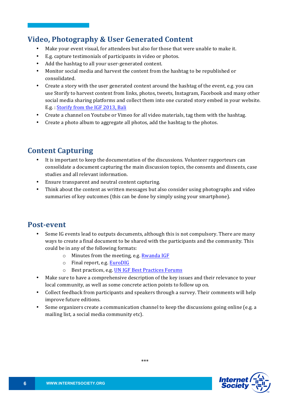#### **Video, Photography & User Generated Content**

- Make your event visual, for attendees but also for those that were unable to make it.
- E.g. capture testimonials of participants in video or photos.
- Add the hashtag to all your user-generated content.
- Monitor social media and harvest the content from the hashtag to be republished or consolidated.
- Create a story with the user generated content around the hashtag of the event, e.g. you can use Storify to harvest content from links, photos, tweets, Instagram, Facebook and many other social media sharing platforms and collect them into one curated story embed in your website. E.g. : Storify from the IGF 2013, Bali
- Create a channel on Youtube or Vimeo for all video materials, tag them with the hashtag.
- Create a photo album to aggregate all photos, add the hashtag to the photos.

#### **Content Capturing**

- It is important to keep the documentation of the discussions. Volunteer rapporteurs can consolidate a document capturing the main discussion topics, the consents and dissents, case studies and all relevant information.
- Ensure transparent and neutral content capturing.
- Think about the content as written messages but also consider using photographs and video summaries of key outcomes (this can be done by simply using your smartphone).

#### **Post-event**

- Some IG events lead to outputs documents, although this is not compulsory. There are many ways to create a final document to be shared with the participants and the community. This could be in any of the following formats:
	- $\circ$  Minutes from the meeting, e.g. Rwanda IGF
	- o Final report, e.g. **EuroDIG**
	- o Best practices, e.g. UN IGF Best Practices Forums
- Make sure to have a comprehensive description of the key issues and their relevance to your local community, as well as some concrete action points to follow up on.
- Collect feedback from participants and speakers through a survey. Their comments will help improve future editions.
- Some organizers create a communication channel to keep the discussions going online (e.g. a mailing list, a social media community etc).